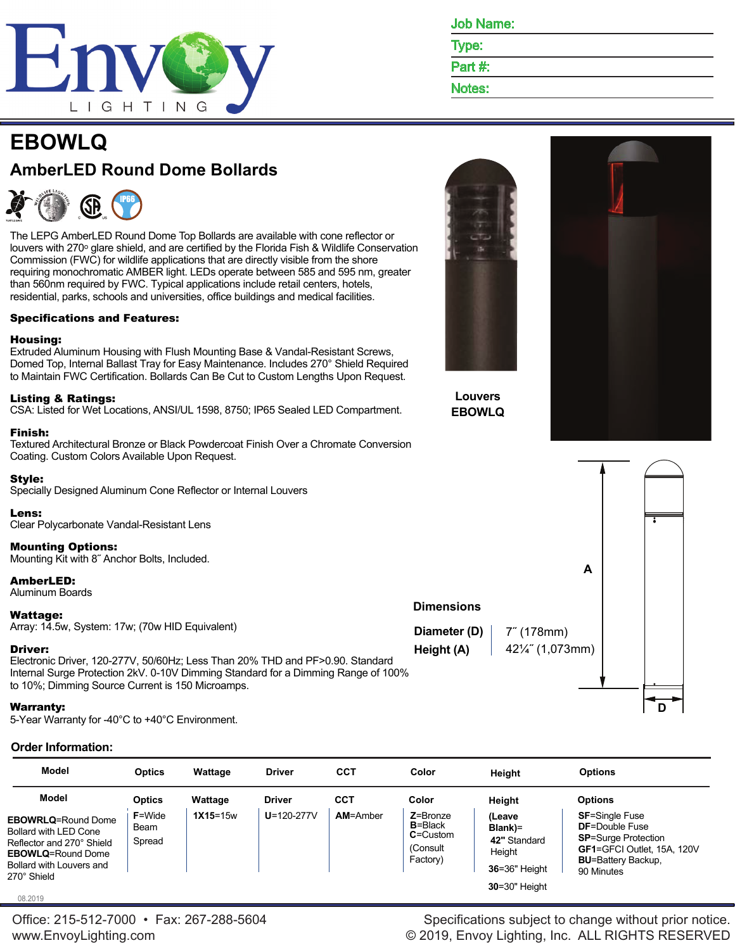

Job Name:

Type:

Part #:

Notes:

**Louvers EBOWLQ**

**Dimensions**

# **EBOWLQ AmberLED Round Dome Bollards**



The LEPG AmberLED Round Dome Top Bollards are available with cone reflector or louvers with 270° glare shield, and are certified by the Florida Fish & Wildlife Conservation Commission (FWC) for wildlife applications that are directly visible from the shore requiring monochromatic AMBER light. LEDs operate between 585 and 595 nm, greater than 560nm required by FWC. Typical applications include retail centers, hotels, residential, parks, schools and universities, office buildings and medical facilities.

## Specifications and Features:

### Housing:

Extruded Aluminum Housing with Flush Mounting Base & Vandal-Resistant Screws, Domed Top, Internal Ballast Tray for Easy Maintenance. Includes 270° Shield Required to Maintain FWC Certification. Bollards Can Be Cut to Custom Lengths Upon Request.

### Listing & Ratings:

CSA: Listed for Wet Locations, ANSI/UL 1598, 8750; IP65 Sealed LED Compartment.

#### Finish:

Textured Architectural Bronze or Black Powdercoat Finish Over a Chromate Conversion Coating. Custom Colors Available Upon Request.

## Style:

Specially Designed Aluminum Cone Reflector or Internal Louvers

#### Lens: Clear Polycarbonate Vandal-Resistant Lens

#### Mounting Options:

Mounting Kit with 8˝ Anchor Bolts, Included.

## AmberLED:

Aluminum Boards

## Wattage:

Array: 14.5w, System: 17w; (70w HID Equivalent)

# Driver:

Electronic Driver, 120-277V, 50/60Hz; Less Than 20% THD and PF>0.90. Standard Internal Surge Protection 2kV. 0-10V Dimming Standard for a Dimming Range of 100% to 10%; Dimming Source Current is 150 Microamps.

# Warranty:

5-Year Warranty for -40°C to +40°C Environment.

# **Order Information:**

| <b>Model</b>                                                                                                                                           | <b>Optics</b>                   | Wattage    | <b>Driver</b>    | <b>CCT</b>      | Color                                                               | Height                                                                                      | <b>Options</b>                                                                                                                                        |
|--------------------------------------------------------------------------------------------------------------------------------------------------------|---------------------------------|------------|------------------|-----------------|---------------------------------------------------------------------|---------------------------------------------------------------------------------------------|-------------------------------------------------------------------------------------------------------------------------------------------------------|
| Model                                                                                                                                                  | <b>Optics</b>                   | Wattage    | <b>Driver</b>    | CCT             | Color                                                               | Height                                                                                      | <b>Options</b>                                                                                                                                        |
| <b>EBOWRLQ=Round Dome</b><br>Bollard with LED Cone<br>Reflector and 270° Shield<br><b>EBOWLQ=Round Dome</b><br>Bollard with Louvers and<br>270° Shield | <b>F=Wide</b><br>Beam<br>Spread | $1X15=15w$ | $U = 120 - 277V$ | <b>AM=Amber</b> | $Z = Bronze$<br>$B = Black$<br>$C =$ Custom<br>(Consult<br>Factory) | (Leave<br>Blank)=<br>42" Standard<br>Height<br><b>36=36" Height</b><br><b>30=30" Height</b> | <b>SF=Single Fuse</b><br><b>DF=Double Fuse</b><br><b>SP=Surge Protection</b><br>GF1=GFCI Outlet, 15A, 120V<br><b>BU=Battery Backup,</b><br>90 Minutes |

08.2019